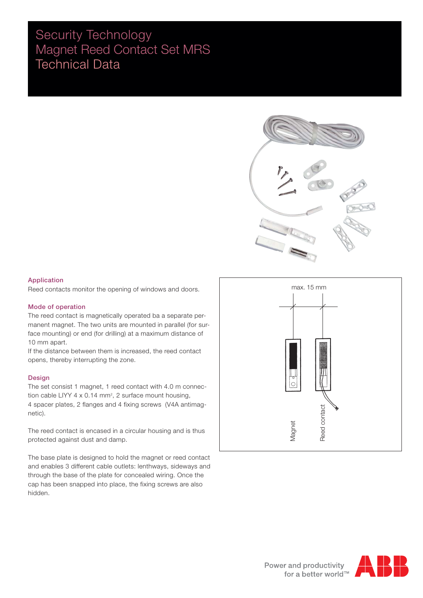# Security Technology Magnet Reed Contact Set MRS Technical Data



# Application

Reed contacts monitor the opening of windows and doors.

## Mode of operation

The reed contact is magnetically operated ba a separate permanent magnet. The two units are mounted in parallel (for surface mounting) or end (for drilling) at a maximum distance of 10 mm apart.

If the distance between them is increased, the reed contact opens, thereby interrupting the zone.

### Design

The set consist 1 magnet, 1 reed contact with 4.0 m connection cable LIYY  $4 \times 0.14$  mm<sup>2</sup>, 2 surface mount housing, 4 spacer plates, 2 flanges and 4 fixing screws (V4A antimagnetic).

The reed contact is encased in a circular housing and is thus protected against dust and damp.

The base plate is designed to hold the magnet or reed contact and enables 3 different cable outlets: lenthways, sideways and through the base of the plate for concealed wiring. Once the cap has been snapped into place, the fixing screws are also hidden.



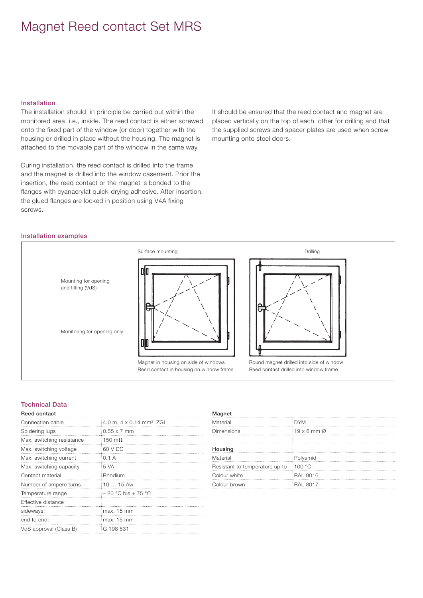# Magnet Reed contact Set MRS

### Installation

The installation should in principle be carried out within the monitored area, i.e., inside. The reed contact is either screwed onto the fixed part of the window (or door) together with the housing or drilled in place without the housing. The magnet is attached to the movable part of the window in the same way.

During installation, the reed contact is drilled into the frame and the magnet is drilled into the window casement. Prior the insertion, the reed contact or the magnet is bonded to the flanges with cyanacrylat quick-drying adhesive. After insertion, the glued flanges are locked in position using V4A fixing screws.

It should be ensured that the reed contact and magnet are placed vertically on the top of each other for drilling and that the supplied screws and spacer plates are used when screw mounting onto steel doors.

### Installation examples



# Technical Data

### Reed contact

| Connection cable          | 4.0 m, 4 x 0.14 mm <sup>2</sup> ZGL |
|---------------------------|-------------------------------------|
| Soldering lugs            | :0.55 x 7 mm                        |
| Max. switching resistance | 150 m $\Omega$                      |
| Max. switching voltage    | 60 V DC                             |
| Max. switching current    | :0.1 A                              |
| Max. switching capacity   | :5 VA                               |
| Contact material          | <b>Rhodium</b>                      |
| Number of ampere turns    | $1015$ Aw                           |
| Temperature range         | $-20$ °C bis + 75 °C                |
| Effective distance        |                                     |
| sideways:                 | imax. 15 mm                         |
| end to end:               | imax. 15 mm                         |
| VdS approval (Class B)    | EG 198 531                          |

#### Magnet

| Material                       | <b>DYM</b>                     |
|--------------------------------|--------------------------------|
| Dimensions                     | $19 \times 6$ mm $\varnothing$ |
|                                |                                |
| Housing                        |                                |
| Material                       | Polyamid                       |
| Resistant to temperature up to | 100 °C                         |
| Colour white                   | <b>RAL 9016</b>                |
| Colour brown                   | <b>RAL 8017</b>                |
|                                |                                |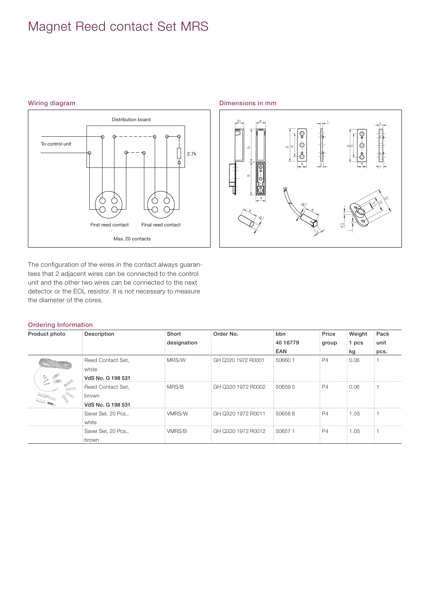# Magnet Reed contact Set MRS



The configuration of the wires in the contact always guarantees that 2 adjacent wires can be connected to the control unit and the other two wires can be connected to the next detector or the EOL resistor. It is not necessary to measure the diameter of the cores.

# Wiring diagram **Dimensions** in mm



# Ordering Information

| Product photo | <b>Description</b>  | Short       | Order No.          | bbn                 | Price | Weight | Pack |
|---------------|---------------------|-------------|--------------------|---------------------|-------|--------|------|
|               |                     | designation |                    | 40 16779            | group | l pcs  | unit |
|               |                     |             |                    | <b>EAN</b>          |       | kg     | pcs. |
|               | Reed Contact Set,   | MRS/W       | GH Q320 1972 R0001 | 1 50660 ∂           | : P4  | 0.06   |      |
|               | white               |             |                    |                     |       |        |      |
|               | VdS No. G 198 531   |             |                    |                     |       |        |      |
|               | Reed Contact Set,   | MRS/B       | GH Q320 1972 R0002 | 1506595             | i P4. | 0.06   |      |
|               | brown               |             |                    |                     |       |        |      |
|               | VdS No. G 198 531   |             |                    |                     |       |        |      |
|               | Saver Set, 20 Pcs., | VMRS/W      | GH Q320 1972 R0011 | : 506588            | : P4  | 1.05   |      |
|               | white               |             |                    |                     |       |        |      |
|               | Saver Set, 20 Pcs., | VMRS/B      | GH Q320 1972 R0012 | $\frac{1}{2}506571$ | i P4. | 1.05   |      |
|               | brown               |             |                    |                     |       |        |      |